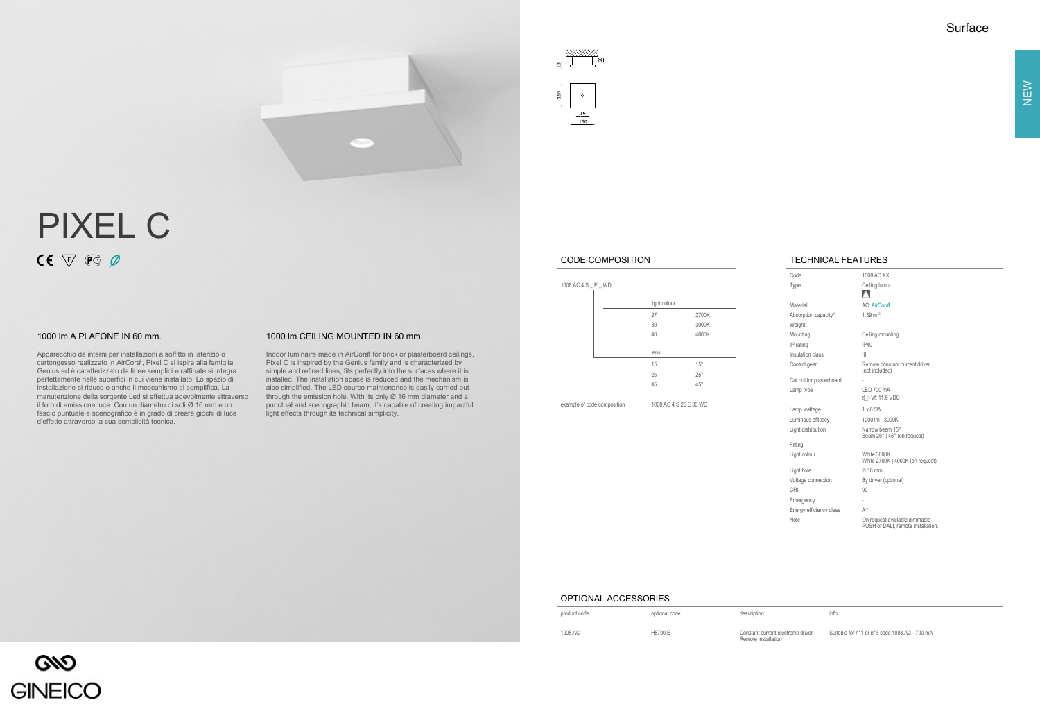# Surface





# PIXEL C  $CE \nabla \mathcal{C}$

Apparecchio da interni per installazioni a soffitto in laterizio o cartongesso realizzato in AirCoral, Pixel C si ispira alla famiglia Genius ed è caratterizzato da linee semplici e raffinate si integra perfettamente nelle superfici in cui viene installato. Lo spazio di installazione si riduce e anche il meccanismo si semplifica. La manutenzione della sorgente Led si effettua agevolmente attraverso il foro di emissione luce. Con un diametro di soli Ø 16 mm e un fascio puntuale e scenografico è in grado di creare giochi di luce d'effetto attraverso la sua semplicità tecnica.

Indoor luminaire made in AirCoral for brick or plasterboard ceilings, Pixel C is inspired by the Genius family and is characterized by simple and refined lines, fits perfectly into the surfaces where it is installed. The installation space is reduced and the mechanism is also simplified. The LED source maintenance is easily carried out through the emission hole. With its only Ø 16 mm diameter and a punctual and scenographic beam, it's capable of creating impactful light effects through its technical simplicity.

# TECHNICAL FEATURES

Code 1008.AC XX Type Ceiling lamp A Material AC: AirCoral Absorption capacity\* 1.39 m<sup>2</sup> Weight Mounting Ceiling mounting IP rating IP40 Insulation class III Control gear **Remote constant current driver**<br>
(not included) Cut out for plasterboard Lamp type LED 700 mA  $\equiv$  D Vf: 11.5 VDC Lamp wattage 1 x 8.5W Luminous efficacy 1000 lm - 3000K Light distribution Narrow beam 15° Beam 25° | 45° (on request) Fitting Light colour White 3000K White 2700K | 4000K (on request) Light hole  $\varnothing$  16 mm Voltage connection By driver (optional) CRI 90 Emergency Energy efficiency class  $A^{++}$ Note On request available dimmable PUSH or DALI, remote installation.

### OPTIONAL ACCESSORIES

| product code | optional code | description                                                | info |
|--------------|---------------|------------------------------------------------------------|------|
| 1008.AC      | H8700.E       | Constant current electronic driver.<br>Remote installation | Sui  |

GNO **GINEICO**  Suitable for n°1 or n°3 code 1008.AC - 700 mA

## CODE COMPOSITION

| 1008.AC 4 S _ E _ WD |              |              |  |
|----------------------|--------------|--------------|--|
|                      | light colour |              |  |
|                      | 27           | 2700K        |  |
|                      | 30           | 3000K        |  |
|                      | 40           | 4000K        |  |
|                      |              |              |  |
|                      | lens         |              |  |
|                      | 15           | $15^{\circ}$ |  |
|                      | 25           | $25^{\circ}$ |  |
|                      | 45           | $45^{\circ}$ |  |
|                      |              |              |  |

example of code composition 1008.AC 4 S 25 E 30 WD

## 1000 lm A PLAFONE IN 60 mm. 1000 lm CEILING MOUNTED IN 60 mm.